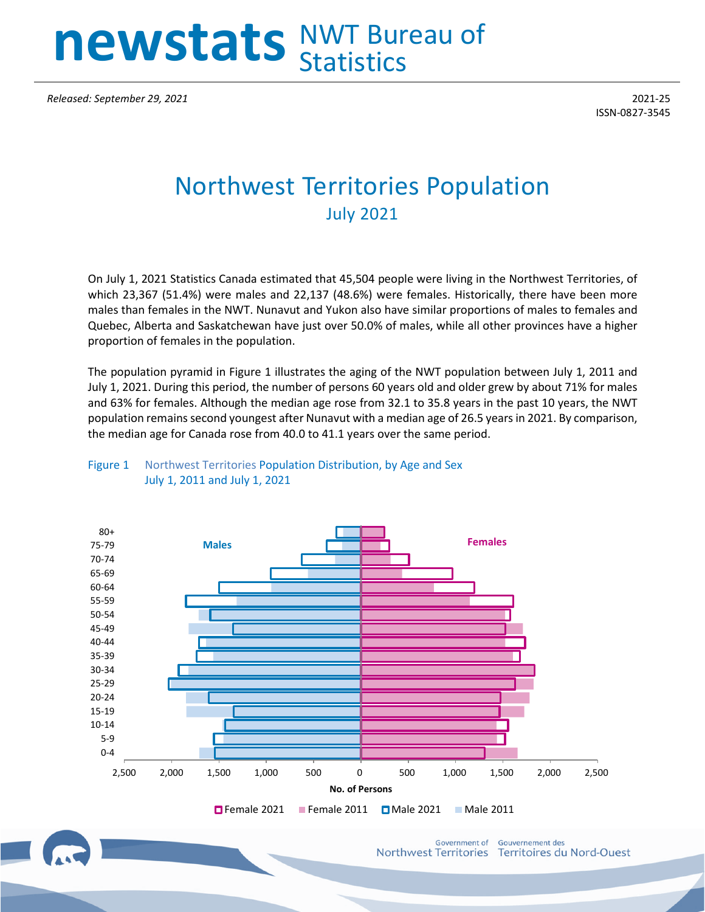## **newstats** NWT Bureau of **Statistics**

*Released: September 29, 2021* 2021-25

ISSN-0827-3545

## Northwest Territories Population July 2021

On July 1, 2021 Statistics Canada estimated that 45,504 people were living in the Northwest Territories, of which 23,367 (51.4%) were males and 22,137 (48.6%) were females. Historically, there have been more males than females in the NWT. Nunavut and Yukon also have similar proportions of males to females and Quebec, Alberta and Saskatchewan have just over 50.0% of males, while all other provinces have a higher proportion of females in the population.

The population pyramid in Figure 1 illustrates the aging of the NWT population between July 1, 2011 and July 1, 2021. During this period, the number of persons 60 years old and older grew by about 71% for males and 63% for females. Although the median age rose from 32.1 to 35.8 years in the past 10 years, the NWT population remains second youngest after Nunavut with a median age of 26.5 years in 2021. By comparison, the median age for Canada rose from 40.0 to 41.1 years over the same period.



Figure 1 Northwest Territories Population Distribution, by Age and Sex July 1, 2011 and July 1, 2021

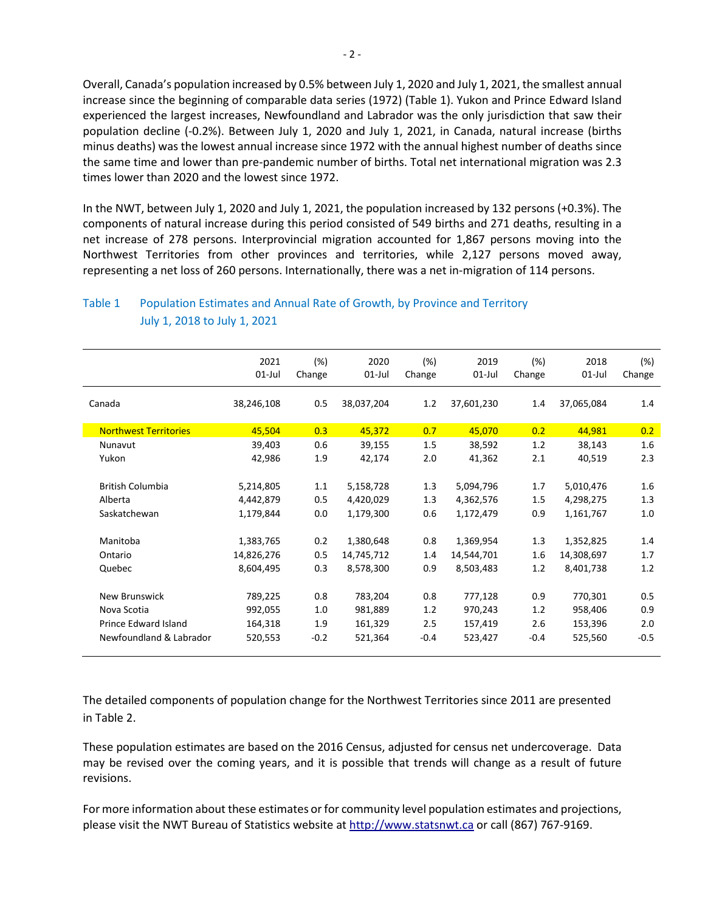Overall, Canada's population increased by 0.5% between July 1, 2020 and July 1, 2021, the smallest annual increase since the beginning of comparable data series (1972) (Table 1). Yukon and Prince Edward Island experienced the largest increases, Newfoundland and Labrador was the only jurisdiction that saw their population decline (-0.2%). Between July 1, 2020 and July 1, 2021, in Canada, natural increase (births minus deaths) was the lowest annual increase since 1972 with the annual highest number of deaths since the same time and lower than pre-pandemic number of births. Total net international migration was 2.3 times lower than 2020 and the lowest since 1972.

In the NWT, between July 1, 2020 and July 1, 2021, the population increased by 132 persons (+0.3%). The components of natural increase during this period consisted of 549 births and 271 deaths, resulting in a net increase of 278 persons. Interprovincial migration accounted for 1,867 persons moving into the Northwest Territories from other provinces and territories, while 2,127 persons moved away, representing a net loss of 260 persons. Internationally, there was a net in-migration of 114 persons.

|                              | 2021<br>$01$ -Jul | (%)<br>Change | 2020<br>$01$ -Jul | (%)<br>Change | 2019<br>$01$ -Jul | (%)<br>Change | 2018<br>$01$ -Jul | (%)<br>Change |
|------------------------------|-------------------|---------------|-------------------|---------------|-------------------|---------------|-------------------|---------------|
| Canada                       | 38,246,108        | 0.5           | 38,037,204        | 1.2           | 37,601,230        | 1.4           | 37,065,084        | 1.4           |
| <b>Northwest Territories</b> | 45,504            | 0.3           | 45,372            | 0.7           | 45,070            | 0.2           | 44,981            | 0.2           |
| Nunavut                      | 39,403            | 0.6           | 39,155            | 1.5           | 38,592            | 1.2           | 38,143            | 1.6           |
| Yukon                        | 42,986            | 1.9           | 42,174            | 2.0           | 41,362            | 2.1           | 40,519            | 2.3           |
| <b>British Columbia</b>      | 5,214,805         | 1.1           | 5,158,728         | 1.3           | 5,094,796         | 1.7           | 5,010,476         | $1.6\,$       |
| Alberta                      | 4,442,879         | 0.5           | 4,420,029         | 1.3           | 4,362,576         | 1.5           | 4,298,275         | 1.3           |
| Saskatchewan                 | 1,179,844         | 0.0           | 1,179,300         | 0.6           | 1,172,479         | 0.9           | 1,161,767         | 1.0           |
| Manitoba                     | 1,383,765         | 0.2           | 1,380,648         | 0.8           | 1,369,954         | 1.3           | 1,352,825         | 1.4           |
| Ontario                      | 14,826,276        | 0.5           | 14,745,712        | 1.4           | 14,544,701        | 1.6           | 14,308,697        | 1.7           |
| Quebec                       | 8,604,495         | 0.3           | 8,578,300         | 0.9           | 8,503,483         | 1.2           | 8,401,738         | 1.2           |
| <b>New Brunswick</b>         | 789,225           | 0.8           | 783,204           | 0.8           | 777,128           | 0.9           | 770,301           | 0.5           |
| Nova Scotia                  | 992,055           | 1.0           | 981,889           | 1.2           | 970,243           | 1.2           | 958,406           | 0.9           |
| Prince Edward Island         | 164,318           | 1.9           | 161,329           | 2.5           | 157,419           | 2.6           | 153,396           | 2.0           |
| Newfoundland & Labrador      | 520,553           | $-0.2$        | 521,364           | $-0.4$        | 523,427           | $-0.4$        | 525,560           | $-0.5$        |

## Table 1 Population Estimates and Annual Rate of Growth, by Province and Territory July 1, 2018 to July 1, 2021

The detailed components of population change for the Northwest Territories since 2011 are presented in Table 2.

These population estimates are based on the 2016 Census, adjusted for census net undercoverage. Data may be revised over the coming years, and it is possible that trends will change as a result of future revisions.

For more information about these estimates or for community level population estimates and projections, please visit the NWT Bureau of Statistics website at http://www.statsnwt.ca or call (867) 767-9169.